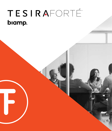# TESIRAFORTÉ biamp.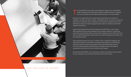

### FOR THE LOVE OF SOUND™

The TesiraFORTÉ® family offers several different models. Each TesiraFORTÉ model is designed and optimized to address a different business challenge, with an eye towards accommodating advancements in AV technologies.

Because some applications don't require audio networking, most models are available in an AVB, non-AVB, or Dante™ compatible version. All versions include the same full set of features; the only difference is the ability to transport audio using AVB/TSN or Dante. Our Dante equipped models allow for interfacing with Dante enabled microphones.

Audio Video Bridging/Time Sensitive Networking (AVB/TSN) is a set of open IEEE standards that have been adopted across multiple industries, including the automotive and industrial sectors, and by major companies such as Intel® and Cisco®. With an AVB/TSN backbone, media streams can travel throughout your facility over the corporate network.

Tesira AVB audio devices are Avnu™ certified. This is a significant milestone, and demonstrates Biamp's commitment to supporting the adoption of AVB/TSN by providing customers with future-proofed, robust networked media solutions. The Avnu Alliance provides certifications for member products that meet all requirements set forth by the Avnu Certified Logo Program.

By selecting TesiraFORTÉ, you're choosing a smarter, more efficient audio solution for your customers, and one that will last them long into the future.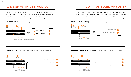# AVB DSP WITH USB AUDIO.

To enhance the functionality and flexibility of TesiraFORTÉ, we added a USB port to each model. The port can interface directly with third-party technologies, allowing you to take full advantage of today's most sophisticated conferencing solutions. Here are a few applications where you may want to consider using USB audio:

### CONFERENCING | Connect directly with a soft codec device



# CUTTING EDGE, ANYONE?

Each TesiraFORTÉ model supports up to 8 channels of configurable audio I/O that can be allocated in the programming interface. With multiple combinations of inputs and outputs, transporting audio over USB makes TesiraFORTÉ a powerful solution for a number of common business challenges.

### BACKGROUND MUSIC | Receive digital audio directly from a music source



### COURT RECORDING | Interface directly with court recording devices



### LECTURE/MEETING RECORDING | Interface directly with recording devices

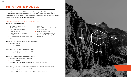# TesiraFORTÉ MODELS

Why are there so many TesiraFORTÉ models? Because you shouldn't have to pay for functinalilty you don't need. Some audio DSP platforms perform best in non-networked spaces, while others do better in distributed, networked installations. TesiraFORTÉ lets you decide what's right for your project and budget.

### HERE ARE THE SPECIFIC FEATURES OF EACH MODEL:

### **TesiraFORTÉ Platform Features**

- 128 x 128 network channels (AVB model only)
- 32 x 32 network channels (DAN model only)
- Gigabit Ethernet control port
- RS-232 serial port
- Up to 8 channels of configurable USB audio
- 4-pin GPIO
- 2-line OLED display with capacitivetouch navigation
- Rack mountable (1RU)
- Internal universal power supply
- Tesira fixed I/O digital signal processor

### **TesiraFORTÉ AI:** Standard model for high quality audio

- 12 mic/line inputs
- 8 mic/line outputs

### **TesiraFORTÉ CI:** Soft codec conferencing solution

- 12 mic/line inputs with AEC technology
- 8 mic/line outputs

### **TesiraFORTÉ VT:** Telephony conferencing solution

- 12 mic/line inputs with AEC technology
- 8 mic/line outputs
- 2-channel VoIP interface and standard FXO telephone interface

**TesiraFORTÉ VT4:** Telephony conferencing solution for smaller conference rooms

- 4 mic/line inputs with AEC technology
- 4 mic/line outputs
- 2-channel VoIP interface and standard FXO telephone interface

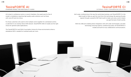### TesiraFORTÉ AI STANDARD MODEL FOR HIGH-QUALITY AUDIO

At its best in conference rooms or council chambers, the sweet spot for the AI model is installations requiring high-quality audio solutions such as those with voice lift and mix-minus.

For those customers who want to link multiple rooms together for centralized control, or add them to an existing Tesira AVB network, TesiraFORTÉ AVB AI models are the right choice for general audio applications.

The TesiraFORTÉ AI and DAN AI are better choices for those environments where a standalone DSP is needed for localized audio per room.

Soft codec conferencing is the way the world does business, and TesiraFORTÉ CI is the ideal model to help you get the most from this technology. By passing all audio signals through a powerful DSP that's built to make sure every word is heard, you get the best of both worlds.

With the USB port enabling direct integration with soft codec technologies, and AEC technology ensuring superior conferencing audio, all TesiraFORTÉ CI models are built for truly collaborative communications.

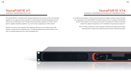### TesiraFORTÉ VT TELEPHONY CONFERENCING SOLUTION

The TesiraFORTÉ VT combines both standard telephone service and a 2-line VoIP interface together in one solution, giving customers a choice between these technologies and soft codec calls via USB audio. The VT brings all this technology together so if there's ever a need to update a telephony platform, you won't have to upgrade your DSP solution.

Whether you plan to link multiple rooms together, add them to an existing Tesira AVB network, or keep the units separate, the VT models facilitate broad communication over VoIP or standard telephone lines, while leveraging AEC.

### TesiraFORTÉ VT4 TELEPHONY CONFERENCING FOR SMALLER CONFERENCE ROOMS

As conferencing solutions continue down the path of all digital, analog I/O becomes less of a requirement. The TesiraFORTÉ VT4 takes all the power of a standard TesiraFORTÉ product and reduces not only the price, but also the analog I/O, making it a perfect solution for digital microphones or for installations requiring less analog I/O.

> The VT4 offers customers a choice between AVB/TSN and Dante technologies – allowing them to select the model that best fits their conferencing needs.

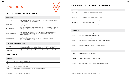## **DIGITAL SIGNAL PROCESSORS**

| <b>FIXED I/O DSP</b>               |                                                                                                                                                                                                                    |  |
|------------------------------------|--------------------------------------------------------------------------------------------------------------------------------------------------------------------------------------------------------------------|--|
| TesiraFORTÉ AI*                    | Fixed I/O configuration of 12 mic/line level inputs and 8 mic/line level outputs. Supports<br>up to 8 channels of configurable USB audio.                                                                          |  |
| TesiraFORTÉ CI*                    | Fixed I/O configuration of 12 mic/line level inputs with AEC and 8 mic/line level outputs.<br>Supports up to 8 channels of configurable USB audio.                                                                 |  |
| TesiraFORTÉ VT*                    | Fixed I/O configuration of 12 mic/line level inputs with AEC, 8 mic/line level outputs, SIP<br>VoIP and standard telephone interface. Supports up to 8 channels of configurable<br>USB audio.                      |  |
| TesiraFORTÉ AVB VT4                | Fixed I/O configuration of 4 mic/line level inputs with AEC, 4 mic/line level outputs,<br>1 channel of analog telephony, and 2 channels of VoIP telephony. Supports up to 8<br>channels of configurable USB audio. |  |
| TesiraFORTÉ DAN VT4                | Fixed I/O configuration of 4 mic/line level inputs with AEC, 4 mic/line level outputs,<br>1 channel of analog telephony, and 2 channels of VoIP telephony. Supports up to 8<br>channels of configurable USB audio. |  |
| <b>VIDEO ENCODERS AND DECODERS</b> |                                                                                                                                                                                                                    |  |
| TesiraLUX <sup>™</sup> IDH-1       | AVB video encoder; includes one HDMI® port and one DisplayPort™ 1.2 port. Accepts 8<br>channels of embedded PCM audio and includes 2 mic/line level analog inputs.                                                 |  |
| TesiraLUX OH-1                     | AVB video decoder; includes one HDMI port. Outputs 8 channels of embedded PCM<br>audio and includes 2 mic/line level analog outputs.                                                                               |  |
| <b>CONTROLS</b>                    |                                                                                                                                                                                                                    |  |

| <b>CONTROLS</b> |                                                                        |  |
|-----------------|------------------------------------------------------------------------|--|
| TEC-1s          | PoE Ethernet control - surface mount                                   |  |
| TEC-1i          | PoE Ethernet control - in-wall mount                                   |  |
| EX-LOGIC        | PoE controller with 16 logic GPIO                                      |  |
| $HD-1$          | Hardware dialer with 12-key standard dial pad and 4 navigation buttons |  |

# **PRODUCTS AMPLIFIERS, EXPANDERS, AND MORE**

#### **AMPLIFIERS**

| AMP-4175R           | 4-channel, 175W, supports optional I/O card                   |
|---------------------|---------------------------------------------------------------|
| AMP-8175R           | 8-channel, 175W, supports 2 optional I/O cards                |
| AMP-4350R           | 4-channel, 350W, supports optional I/O card                   |
| <b>AMP-4300R CV</b> | 4-channel, 300W, constant voltage, supports optional I/O card |
| AMP-A460H           | 4-channel, 60W amplifier                                      |
| AMP-450P            | 4-channel PoE+ conferencing amplifier                         |

| <b>EXPANDERS*</b> |                                                                      |  |
|-------------------|----------------------------------------------------------------------|--|
| EX-IN             | PoE+ 4-channel mic/line input expander                               |  |
| EX-AEC            | PoE+ 4-channel mic/line input expander with AEC                      |  |
| EX-OUT            | PoE+ 4-channel mic/line output expander                              |  |
| EX-IO             | PoE+ 2-channel mic/line input and 2-channel mic/line output expander |  |
| EX-MOD            | Modular expander that can be configured with up to three I/O cards   |  |
| EX-UBT            | PoE AVB/USB expander with Bluetooth <sup>®</sup> wireless technology |  |

#### **MICROPHONES**

| TCM-1   | AVB Beamtracking™ ceiling microphone                              |
|---------|-------------------------------------------------------------------|
| TCM-1A  | AVB Beamtracking ceiling microphone with 2-channel PoE+ amplifier |
| TCM-1EX | Expansion AVB Beamtracking ceiling microphone                     |
| CM1-6W  | Miniaturized gooseneck ceiling microphone, cardioid capsule       |
| CM1-6WS | Miniaturized gooseneck ceiling microphone, supercardioid capsule  |
|         |                                                                   |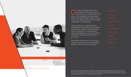

Our Technical Support team has won<br>accolades for the high level of service<br>they provide to our customers day i accolades for the high level of service they provide to our customers day in and day out. With unparalleled worldwide support, Biamp's applications engineers walk you through solutions, and assist you with new system designs, programming, or troubleshooting.

They also perform our in-person and online equipment and concept trainings. From webinars and tutorials on YouTube®, to articles and tech notes on Cornerstone—our online technical support knowledgebase—to in-person multi-day certification trainings, Biamp has invested in your success.

TesiraFORTÉ is backed by our 5-year warranty. Training is available online. To learn more about available courses, visit biamp.com/training.

### biamp.com/training

Biamp, Tesira and TesiraFORTÉ are either trademarks or registered trademarks of Biamp Systems, LLC in the United States and other countries. Other product names referenced may be trademarks or registered marks of their respective owners and Biamp Systems is not affiliated with or sponsored by these companies. Audinate and Dante are either trademarks or registered trademarks of Audinate Pty Ltd in the United States and other countries.